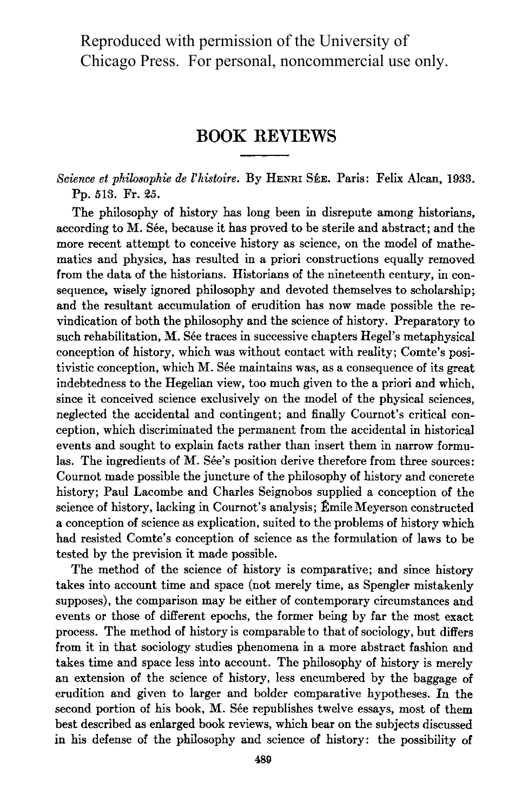Reproduced with permission of the University of Chicago Press. For personal, noncommercial use only.

## BOOK REVIEWS

## Science et philosophie de l'histoire. By HENRI SÉE. Paris: Felix Alcan, 1933. Pp. 513. Fr. 25.

The philosophy of history has long been in disrepute among historians, according to M. Sée, because it has proved to be sterile and abstract; and the more recent attempt to conceive history as science, on the model of mathematics and physics, has resulted in a priori constructions equally removed from the data of the historians. Historians of the nineteenth century, in consequence, wisely ignored philosophy and devoted themselves to scholarship; and the resultant accumulation of erudition has now made possible the revindication of both the philosophy and the science of history. Preparatory to such rehabilitation, M. Sée traces in successive chapters Hegel's metaphysical conception of history, which was without contact with reality; Comte's positivistic conception, which M. See maintains was, as a consequence of its great indebtedness to the Hegelian view, too much given to the a priori and which, since it conceived science exclusively on the model of the physical sciences, neglected the accidental and contingent; and finally Cournot's critical conception, which discriminated the permanent from the accidental in historical events and sought to explain facts rather than insert them in narrow formulas. The ingredients of M. Sée's position derive therefore from three sources: Cournot made possible the juncture of the philosophy of history and concrete history; Paul Lacombe and Charles Seignobos supplied a conception of the science of history, lacking in Cournot's analysis; Émile Meyerson constructed a conception of science as explication, suited to the problems of history which had resisted Comte's conception of science as the formulation of laws to be tested by the prevision it made possible.

The method of the science of history is comparative; and since history takes into account time and space (not merely time, as Spengler mistakenly supposes), the comparison may be either of contemporary circumstances and events or those of different epochs, the former being by far the most exact process. The method of history is comparable to that of sociology, but differs from it in that sociology studies phenomena in a more abstract fashion and takes time and space less into account. The philosophy of history is merely an extension of the science of history, less encumbered by the baggage of erudition and given to larger and bolder comparative hypotheses. In the second portion of his book, M. Sée republishes twelve essays, most of them best described as enlarged book reviews, which bear on the subjects discussed in his defense of the philosophy and science of history: the possibility of